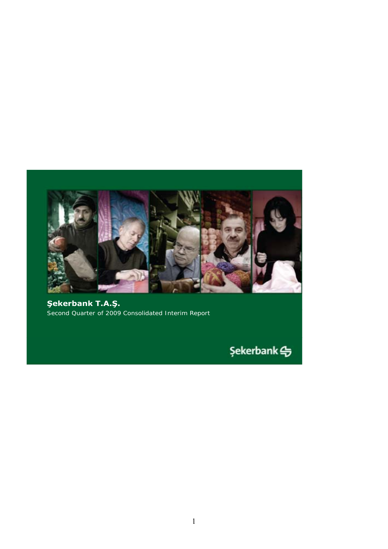

**Şekerbank T.A.Ş.** Second Quarter of 2009 Consolidated Interim Report